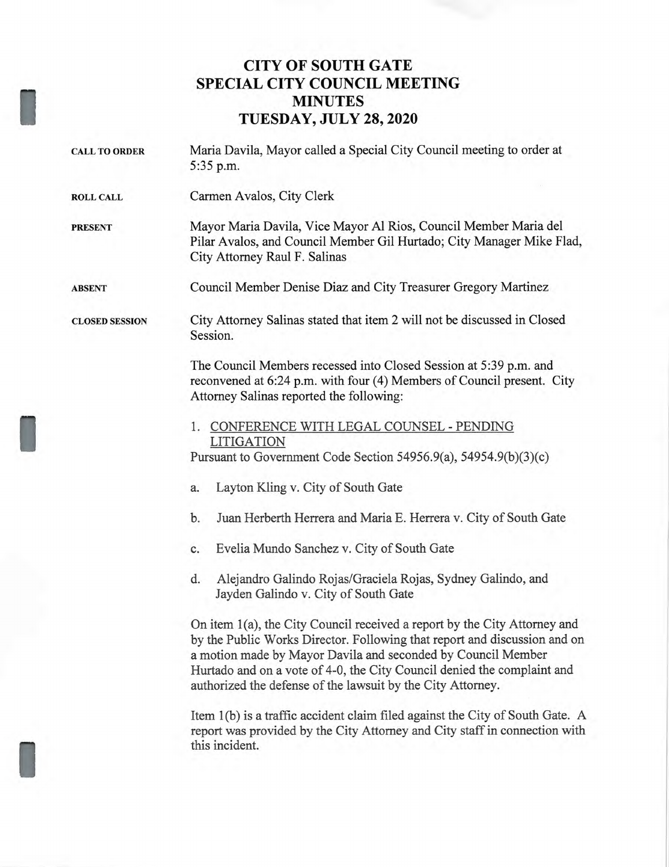## **CITY OF SOUTH GATE SPECIAL CITY COUNCIL MEETING MINUTES TUESDAY, JULY 28, 2020**

| <b>CALL TO ORDER</b>  | Maria Davila, Mayor called a Special City Council meeting to order at<br>5:35 p.m.                                                                                                                                                                                                                                                                               |
|-----------------------|------------------------------------------------------------------------------------------------------------------------------------------------------------------------------------------------------------------------------------------------------------------------------------------------------------------------------------------------------------------|
| <b>ROLL CALL</b>      | Carmen Avalos, City Clerk                                                                                                                                                                                                                                                                                                                                        |
| <b>PRESENT</b>        | Mayor Maria Davila, Vice Mayor Al Rios, Council Member Maria del<br>Pilar Avalos, and Council Member Gil Hurtado; City Manager Mike Flad,<br>City Attorney Raul F. Salinas                                                                                                                                                                                       |
| <b>ABSENT</b>         | Council Member Denise Diaz and City Treasurer Gregory Martinez                                                                                                                                                                                                                                                                                                   |
| <b>CLOSED SESSION</b> | City Attorney Salinas stated that item 2 will not be discussed in Closed<br>Session.                                                                                                                                                                                                                                                                             |
|                       | The Council Members recessed into Closed Session at 5:39 p.m. and<br>reconvened at 6:24 p.m. with four (4) Members of Council present. City<br>Attorney Salinas reported the following:                                                                                                                                                                          |
|                       | 1. CONFERENCE WITH LEGAL COUNSEL - PENDING                                                                                                                                                                                                                                                                                                                       |
|                       | <b>LITIGATION</b><br>Pursuant to Government Code Section 54956.9(a), 54954.9(b)(3)(c)                                                                                                                                                                                                                                                                            |
|                       | Layton Kling v. City of South Gate<br>a.                                                                                                                                                                                                                                                                                                                         |
|                       | b.<br>Juan Herberth Herrera and Maria E. Herrera v. City of South Gate                                                                                                                                                                                                                                                                                           |
|                       | Evelia Mundo Sanchez v. City of South Gate<br>c.                                                                                                                                                                                                                                                                                                                 |
|                       | Alejandro Galindo Rojas/Graciela Rojas, Sydney Galindo, and<br>d.<br>Jayden Galindo v. City of South Gate                                                                                                                                                                                                                                                        |
|                       | On item 1(a), the City Council received a report by the City Attorney and<br>by the Public Works Director. Following that report and discussion and on<br>a motion made by Mayor Davila and seconded by Council Member<br>Hurtado and on a vote of 4-0, the City Council denied the complaint and<br>authorized the defense of the lawsuit by the City Attorney. |
|                       | Item 1(b) is a traffic accident claim filed against the City of South Gate. A<br>report was provided by the City Attorney and City staff in connection with<br>this incident.                                                                                                                                                                                    |